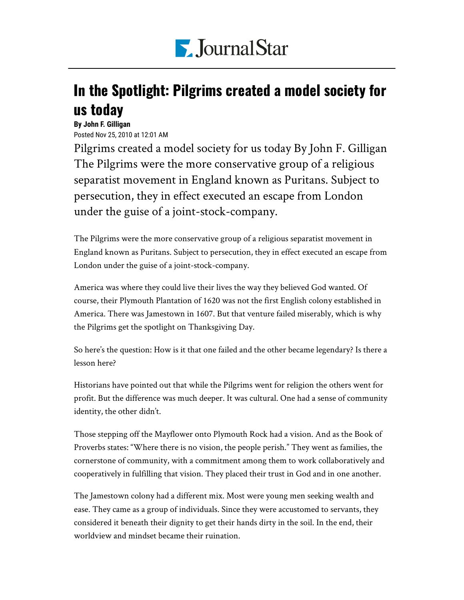

## In the Spotlight: Pilgrims created a model society for us today

**By John F. Gilligan** Posted Nov 25, 2010 at 12:01 AM

Pilgrims created a model society for us today By John F. Gilligan The Pilgrims were the more conservative group of a religious separatist movement in England known as Puritans. Subject to persecution, they in effect executed an escape from London under the guise of a joint-stock-company.

The Pilgrims were the more conservative group of a religious separatist movement in England known as Puritans. Subject to persecution, they in effect executed an escape from London under the guise of a joint-stock-company.

America was where they could live their lives the way they believed God wanted. Of course, their Plymouth Plantation of 1620 was not the first English colony established in America. There was Jamestown in 1607. But that venture failed miserably, which is why the Pilgrims get the spotlight on Thanksgiving Day.

So here's the question: How is it that one failed and the other became legendary? Is there a lesson here?

Historians have pointed out that while the Pilgrims went for religion the others went for profit. But the difference was much deeper. It was cultural. One had a sense of community identity, the other didn't.

Those stepping off the Mayflower onto Plymouth Rock had a vision. And as the Book of Proverbs states: "Where there is no vision, the people perish." They went as families, the cornerstone of community, with a commitment among them to work collaboratively and cooperatively in fulfilling that vision. They placed their trust in God and in one another.

The Jamestown colony had a different mix. Most were young men seeking wealth and ease. They came as a group of individuals. Since they were accustomed to servants, they considered it beneath their dignity to get their hands dirty in the soil. In the end, their worldview and mindset became their ruination.